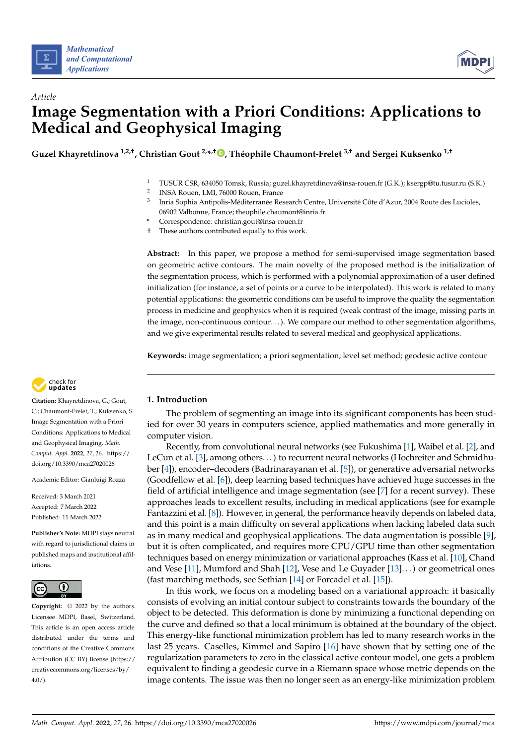

*Article*



# **Image Segmentation with a Priori Conditions: Applications to Medical and Geophysical Imaging**

**Guzel Khayretdinova 1,2,†, Christian Gout 2,\* ,† [,](https://orcid.org/0000-0002-3628-4397) Théophile Chaumont-Frelet 3,† and Sergei Kuksenko 1,†**

- <sup>1</sup> TUSUR CSR, 634050 Tomsk, Russia; guzel.khayretdinova@insa-rouen.fr (G.K.); ksergp@tu.tusur.ru (S.K.)
- 2 INSA Rouen, LMI, 76000 Rouen, France
- 3 Inria Sophia Antipolis-Méditerranée Research Centre, Université Côte d'Azur, 2004 Route des Lucioles, 06902 Valbonne, France; theophile.chaumont@inria.fr
- **\*** Correspondence: christian.gout@insa-rouen.fr
- † These authors contributed equally to this work.

**Abstract:** In this paper, we propose a method for semi-supervised image segmentation based on geometric active contours. The main novelty of the proposed method is the initialization of the segmentation process, which is performed with a polynomial approximation of a user defined initialization (for instance, a set of points or a curve to be interpolated). This work is related to many potential applications: the geometric conditions can be useful to improve the quality the segmentation process in medicine and geophysics when it is required (weak contrast of the image, missing parts in the image, non-continuous contour. . . ). We compare our method to other segmentation algorithms, and we give experimental results related to several medical and geophysical applications.

**Keywords:** image segmentation; a priori segmentation; level set method; geodesic active contour



**Citation:** Khayretdinova, G.; Gout, C.; Chaumont-Frelet, T.; Kuksenko, S. Image Segmentation with a Priori Conditions: Applications to Medical and Geophysical Imaging. *Math. Comput. Appl.* **2022**, *27*, 26. [https://](https://doi.org/10.3390/mca27020026) [doi.org/10.3390/mca27020026](https://doi.org/10.3390/mca27020026)

Academic Editor: Gianluigi Rozza

Received: 3 March 2021 Accepted: 7 March 2022 Published: 11 March 2022

**Publisher's Note:** MDPI stays neutral with regard to jurisdictional claims in published maps and institutional affiliations.



**Copyright:** © 2022 by the authors. Licensee MDPI, Basel, Switzerland. This article is an open access article distributed under the terms and conditions of the Creative Commons Attribution (CC BY) license [\(https://](https://creativecommons.org/licenses/by/4.0/) [creativecommons.org/licenses/by/](https://creativecommons.org/licenses/by/4.0/)  $4.0/$ ).

# **1. Introduction**

The problem of segmenting an image into its significant components has been studied for over 30 years in computers science, applied mathematics and more generally in computer vision.

Recently, from convolutional neural networks (see Fukushima [\[1\]](#page-14-0), Waibel et al. [\[2\]](#page-14-1), and LeCun et al. [\[3\]](#page-14-2), among others...) to recurrent neural networks (Hochreiter and Schmidhuber [\[4\]](#page-14-3)), encoder–decoders (Badrinarayanan et al. [\[5\]](#page-14-4)), or generative adversarial networks (Goodfellow et al. [\[6\]](#page-14-5)), deep learning based techniques have achieved huge successes in the field of artificial intelligence and image segmentation (see [\[7\]](#page-14-6) for a recent survey). These approaches leads to excellent results, including in medical applications (see for example Fantazzini et al. [\[8\]](#page-14-7)). However, in general, the performance heavily depends on labeled data, and this point is a main difficulty on several applications when lacking labeled data such as in many medical and geophysical applications. The data augmentation is possible [\[9\]](#page-14-8), but it is often complicated, and requires more CPU/GPU time than other segmentation techniques based on energy minimization or variational approaches (Kass et al. [\[10\]](#page-14-9), Chand and Vese [\[11\]](#page-14-10), Mumford and Shah [\[12\]](#page-14-11), Vese and Le Guyader [\[13\]](#page-14-12). . . ) or geometrical ones (fast marching methods, see Sethian [\[14\]](#page-14-13) or Forcadel et al. [\[15\]](#page-14-14)).

In this work, we focus on a modeling based on a variational approach: it basically consists of evolving an initial contour subject to constraints towards the boundary of the object to be detected. This deformation is done by minimizing a functional depending on the curve and defined so that a local minimum is obtained at the boundary of the object. This energy-like functional minimization problem has led to many research works in the last 25 years. Caselles, Kimmel and Sapiro [\[16\]](#page-14-15) have shown that by setting one of the regularization parameters to zero in the classical active contour model, one gets a problem equivalent to finding a geodesic curve in a Riemann space whose metric depends on the image contents. The issue was then no longer seen as an energy-like minimization problem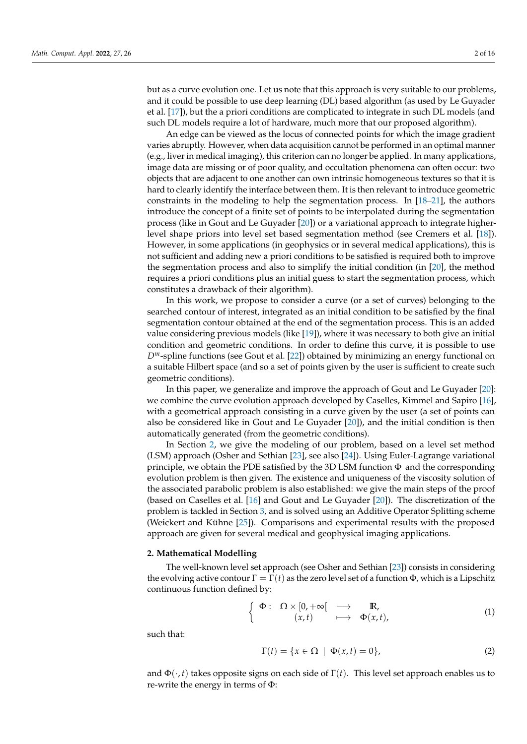but as a curve evolution one. Let us note that this approach is very suitable to our problems, and it could be possible to use deep learning (DL) based algorithm (as used by Le Guyader et al. [\[17\]](#page-14-16)), but the a priori conditions are complicated to integrate in such DL models (and such DL models require a lot of hardware, much more that our proposed algorithm).

An edge can be viewed as the locus of connected points for which the image gradient varies abruptly. However, when data acquisition cannot be performed in an optimal manner (e.g., liver in medical imaging), this criterion can no longer be applied. In many applications, image data are missing or of poor quality, and occultation phenomena can often occur: two objects that are adjacent to one another can own intrinsic homogeneous textures so that it is hard to clearly identify the interface between them. It is then relevant to introduce geometric constraints in the modeling to help the segmentation process. In [\[18–](#page-14-17)[21\]](#page-14-18), the authors introduce the concept of a finite set of points to be interpolated during the segmentation process (like in Gout and Le Guyader [\[20\]](#page-14-19)) or a variational approach to integrate higherlevel shape priors into level set based segmentation method (see Cremers et al. [\[18\]](#page-14-17)). However, in some applications (in geophysics or in several medical applications), this is not sufficient and adding new a priori conditions to be satisfied is required both to improve the segmentation process and also to simplify the initial condition (in [\[20\]](#page-14-19), the method requires a priori conditions plus an initial guess to start the segmentation process, which constitutes a drawback of their algorithm).

In this work, we propose to consider a curve (or a set of curves) belonging to the searched contour of interest, integrated as an initial condition to be satisfied by the final segmentation contour obtained at the end of the segmentation process. This is an added value considering previous models (like [\[19\]](#page-14-20)), where it was necessary to both give an initial condition and geometric conditions. In order to define this curve, it is possible to use *Dm*-spline functions (see Gout et al. [\[22\]](#page-14-21)) obtained by minimizing an energy functional on a suitable Hilbert space (and so a set of points given by the user is sufficient to create such geometric conditions).

In this paper, we generalize and improve the approach of Gout and Le Guyader [\[20\]](#page-14-19): we combine the curve evolution approach developed by Caselles, Kimmel and Sapiro [\[16\]](#page-14-15), with a geometrical approach consisting in a curve given by the user (a set of points can also be considered like in Gout and Le Guyader [\[20\]](#page-14-19)), and the initial condition is then automatically generated (from the geometric conditions).

In Section [2,](#page-1-0) we give the modeling of our problem, based on a level set method (LSM) approach (Osher and Sethian [\[23\]](#page-14-22), see also [\[24\]](#page-14-23)). Using Euler-Lagrange variational principle, we obtain the PDE satisfied by the 3D LSM function  $\Phi$  and the corresponding evolution problem is then given. The existence and uniqueness of the viscosity solution of the associated parabolic problem is also established: we give the main steps of the proof (based on Caselles et al. [\[16\]](#page-14-15) and Gout and Le Guyader [\[20\]](#page-14-19)). The discretization of the problem is tackled in Section [3,](#page-4-0) and is solved using an Additive Operator Splitting scheme (Weickert and Kühne [\[25\]](#page-14-24)). Comparisons and experimental results with the proposed approach are given for several medical and geophysical imaging applications.

## <span id="page-1-0"></span>**2. Mathematical Modelling**

The well-known level set approach (see Osher and Sethian [\[23\]](#page-14-22)) consists in considering the evolving active contour  $Γ = Γ(t)$  as the zero level set of a function Φ, which is a Lipschitz continuous function defined by:

$$
\begin{cases} \Phi: \Omega \times [0, +\infty[ \longrightarrow \mathbb{R}, \\ (x, t) \longmapsto \Phi(x, t), \end{cases}
$$
 (1)

such that:

$$
\Gamma(t) = \{x \in \Omega \mid \Phi(x, t) = 0\},\tag{2}
$$

and  $\Phi(\cdot,t)$  takes opposite signs on each side of  $\Gamma(t)$ . This level set approach enables us to re-write the energy in terms of Φ: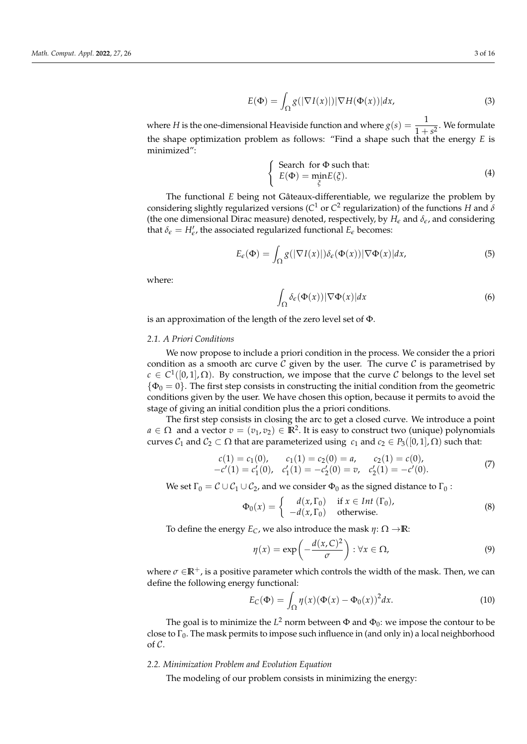$$
E(\Phi) = \int_{\Omega} g(|\nabla I(x)|) |\nabla H(\Phi(x))| dx, \tag{3}
$$

where *H* is the one-dimensional Heaviside function and where  $g(s) = \frac{1}{1+s^2}$ . We formulate the shape optimization problem as follows: "Find a shape such that the energy *E* is minimized":

$$
\begin{cases}\n\text{Search for } \Phi \text{ such that:} \\
E(\Phi) = \min_{\xi} E(\xi). \n\end{cases} \tag{4}
$$

The functional *E* being not Gâteaux-differentiable, we regularize the problem by considering slightly regularized versions ( $C^1$  or  $C^2$  regularization) of the functions  $H$  and  $\delta$ (the one dimensional Dirac measure) denoted, respectively, by *H<sup>e</sup>* and *δe*, and considering that  $\delta_{\epsilon} = H'_{\epsilon}$ , the associated regularized functional  $E_{\epsilon}$  becomes:

$$
E_{\epsilon}(\Phi) = \int_{\Omega} g(|\nabla I(x)|) \delta_{\epsilon}(\Phi(x)) |\nabla \Phi(x)| dx, \tag{5}
$$

where:

z  $\int_{\Omega} \delta_{\epsilon}(\Phi(x)) |\nabla \Phi(x)| dx$  (6)

is an approximation of the length of the zero level set of Φ.

#### *2.1. A Priori Conditions*

We now propose to include a priori condition in the process. We consider the a priori condition as a smooth arc curve  $\mathcal C$  given by the user. The curve  $\mathcal C$  is parametrised by  $c \in C^1([0,1], \Omega)$ . By construction, we impose that the curve C belongs to the level set  $\{\Phi_0 = 0\}$ . The first step consists in constructing the initial condition from the geometric conditions given by the user. We have chosen this option, because it permits to avoid the stage of giving an initial condition plus the a priori conditions.

The first step consists in closing the arc to get a closed curve. We introduce a point  $a \in \Omega$  and a vector  $v = (v_1, v_2) \in \mathbb{R}^2$ . It is easy to construct two (unique) polynomials curves  $C_1$  and  $C_2 \subset \Omega$  that are parameterized using  $c_1$  and  $c_2 \in P_3([0,1], \Omega)$  such that:

$$
\begin{aligned}\nc(1) &= c_1(0), & c_1(1) &= c_2(0) = a, & c_2(1) &= c(0), \\
-c'(1) &= c'_1(0), & c'_1(1) &= -c'_2(0) = v, & c'_2(1) &= -c'(0).\n\end{aligned} \tag{7}
$$

We set  $\Gamma_0 = C \cup C_1 \cup C_2$ , and we consider  $\Phi_0$  as the signed distance to  $\Gamma_0$ :

$$
\Phi_0(x) = \begin{cases}\n d(x, \Gamma_0) & \text{if } x \in Int(\Gamma_0), \\
 -d(x, \Gamma_0) & \text{otherwise.} \n\end{cases}
$$
\n(8)

To define the energy  $E_C$ , we also introduce the mask  $\eta: \Omega \to \mathbb{R}$ :

$$
\eta(x) = \exp\left(-\frac{d(x,C)^2}{\sigma}\right) : \forall x \in \Omega,
$$
\n(9)

where  $\sigma \in \mathbb{R}^+$ , is a positive parameter which controls the width of the mask. Then, we can define the following energy functional:

$$
E_C(\Phi) = \int_{\Omega} \eta(x) (\Phi(x) - \Phi_0(x))^2 dx.
$$
 (10)

The goal is to minimize the  $L^2$  norm between  $\Phi$  and  $\Phi_0$ : we impose the contour to be close to  $\Gamma_0$ . The mask permits to impose such influence in (and only in) a local neighborhood  $\alpha$  C.

## *2.2. Minimization Problem and Evolution Equation*

The modeling of our problem consists in minimizing the energy: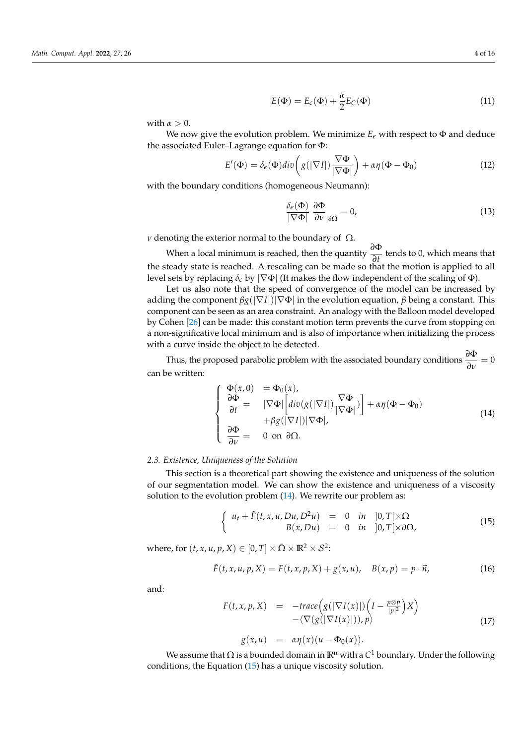$$
E(\Phi) = E_{\epsilon}(\Phi) + \frac{\alpha}{2} E_C(\Phi)
$$
\n(11)

with  $\alpha > 0$ .

We now give the evolution problem. We minimize  $E_{\epsilon}$  with respect to  $\Phi$  and deduce the associated Euler–Lagrange equation for Φ:

$$
E'(\Phi) = \delta_{\epsilon}(\Phi)div\left(g(|\nabla I|)\frac{\nabla\Phi}{|\nabla\Phi|}\right) + \alpha\eta(\Phi - \Phi_0)
$$
\n(12)

with the boundary conditions (homogeneous Neumann):

$$
\frac{\delta_{\epsilon}(\Phi)}{|\nabla\Phi|} \frac{\partial \Phi}{\partial v}_{|\partial\Omega} = 0, \tag{13}
$$

*ν* denoting the exterior normal to the boundary of  $Ω$ .

When a local minimum is reached, then the quantity *<sup>∂</sup>*<sup>Φ</sup> <del>∂</del><sup>*t*</sup>
tends to 0, which means that the steady state is reached. A rescaling can be made so that the motion is applied to all level sets by replacing  $\delta_{\epsilon}$  by  $|\nabla \Phi|$  (It makes the flow independent of the scaling of  $\Phi$ ).

Let us also note that the speed of convergence of the model can be increased by adding the component *βg*(|∇*I*|)|∇Φ| in the evolution equation, *β* being a constant. This component can be seen as an area constraint. An analogy with the Balloon model developed by Cohen [\[26\]](#page-14-25) can be made: this constant motion term prevents the curve from stopping on a non-significative local minimum and is also of importance when initializing the process with a curve inside the object to be detected.

Thus, the proposed parabolic problem with the associated boundary conditions  $\frac{\partial \Phi}{\partial v} = 0$ can be written:

<span id="page-3-0"></span>
$$
\begin{cases}\n\Phi(x,0) = \Phi_0(x), \n\frac{\partial \Phi}{\partial t} = |\nabla \Phi| \left[ \text{div}(g(|\nabla I|) \frac{\nabla \Phi}{|\nabla \Phi|}) \right] + \alpha \eta (\Phi - \Phi_0) \n+ \beta g(|\nabla I|) |\nabla \Phi|, \n\frac{\partial \Phi}{\partial \nu} = 0 \text{ on } \partial \Omega.\n\end{cases}
$$
\n(14)

#### *2.3. Existence, Uniqueness of the Solution*

This section is a theoretical part showing the existence and uniqueness of the solution of our segmentation model. We can show the existence and uniqueness of a viscosity solution to the evolution problem [\(14\)](#page-3-0). We rewrite our problem as:

<span id="page-3-1"></span>
$$
\begin{cases}\n u_t + \tilde{F}(t, x, u, Du, D^2u) = 0 & \text{in} \quad ]0, T[\times \Omega] \\
 B(x, Du) = 0 & \text{in} \quad ]0, T[\times \partial \Omega,\n\end{cases}
$$
\n(15)

where, for  $(t, x, u, p, X) \in [0, T] \times \bar{\Omega} \times \mathbb{R}^2 \times \mathcal{S}^2$ :

$$
\tilde{F}(t, x, u, p, X) = F(t, x, p, X) + g(x, u), \quad B(x, p) = p \cdot \vec{n},
$$
\n(16)

and:

$$
F(t, x, p, X) = -trace(g(|\nabla I(x)|)\left(I - \frac{p \otimes p}{|p|^2}\right)X) - \langle \nabla (g(|\nabla I(x)|)), p \rangle \tag{17}
$$

$$
g(x,u) = \alpha \eta(x)(u - \Phi_0(x)).
$$

We assume that  $\Omega$  is a bounded domain in  $\mathbb{R}^n$  with a  $C^1$  boundary. Under the following conditions, the Equation [\(15\)](#page-3-1) has a unique viscosity solution.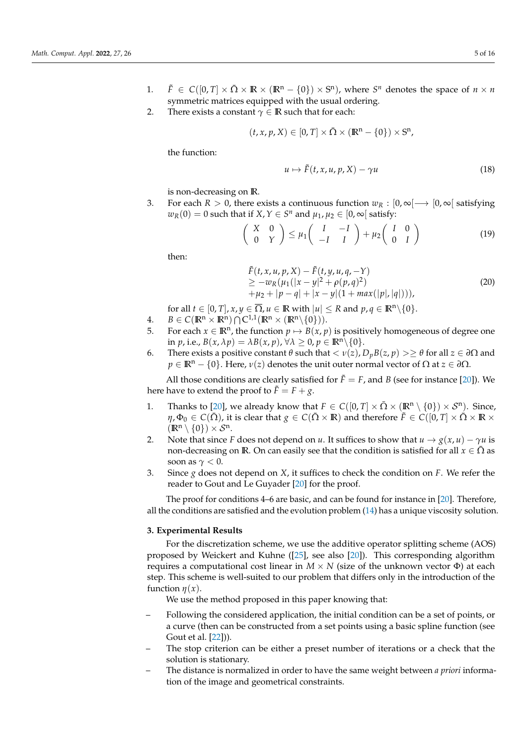- 1.  $\tilde{F} \in C([0, T] \times \bar{\Omega} \times \mathbb{R} \times (\mathbb{R}^n \{0\}) \times S^n)$ , where  $S^n$  denotes the space of  $n \times n$ symmetric matrices equipped with the usual ordering.
- 2. There exists a constant  $\gamma \in \mathbb{R}$  such that for each:

$$
(t, x, p, X) \in [0, T] \times \overline{\Omega} \times (\mathbb{R}^n - \{0\}) \times S^n,
$$

the function:

$$
u \mapsto \tilde{F}(t, x, u, p, X) - \gamma u \tag{18}
$$

is non-decreasing on IR.

3. For each  $R > 0$ , there exists a continuous function  $w_R : [0, \infty) \rightarrow [0, \infty]$  satisfying  $w_R(0) = 0$  such that if  $X, Y \in S^n$  and  $\mu_1, \mu_2 \in [0, \infty)$  satisfy:

$$
\begin{pmatrix}\nX & 0 \\
0 & Y\n\end{pmatrix}\n\leq \mu_1 \begin{pmatrix}\nI & -I \\
-I & I\n\end{pmatrix} + \mu_2 \begin{pmatrix}\nI & 0 \\
0 & I\n\end{pmatrix}
$$
\n(19)

then:

$$
\tilde{F}(t, x, u, p, X) - \tilde{F}(t, y, u, q, -Y) \n\geq -w_R(\mu_1(|x - y|^2 + \rho(p, q)^2) \n+ \mu_2 + |p - q| + |x - y|(1 + \max(|p|, |q|))),
$$
\n(20)

- for all  $t \in [0, T]$ ,  $x, y \in \overline{\Omega}$ ,  $u \in \mathbb{R}$  with  $|u| \le R$  and  $p, q \in \mathbb{R}^n \setminus \{0\}$ .
- 4.  $B \in C(\mathbb{R}^n \times \mathbb{R}^n) \cap C^{1,1}(\mathbb{R}^n \times (\mathbb{R}^n \setminus \{0\})).$
- 5. For each  $x \in \mathbb{R}^n$ , the function  $p \mapsto B(x, p)$  is positively homogeneous of degree one in *p*, i.e.,  $B(x, \lambda p) = \lambda B(x, p)$ ,  $\forall \lambda \ge 0$ ,  $p \in \mathbb{R}^n \setminus \{0\}$ .
- 6. There exists a positive constant *θ* such that < *ν*(*z*), *DpB*(*z*, *p*) >≥ *θ* for all *z* ∈ *∂*Ω and  $p \in \mathbb{R}^n - \{0\}$ . Here,  $\nu(z)$  denotes the unit outer normal vector of  $\Omega$  at  $z \in \partial\Omega$ .

All those conditions are clearly satisfied for  $\tilde{F} = F$ , and *B* (see for instance [\[20\]](#page-14-19)). We here have to extend the proof to  $\tilde{F} = F + g$ .

- 1. Thanks to [\[20\]](#page-14-19), we already know that  $F \in C([0, T] \times \overline{\Omega} \times (\mathbb{R}^n \setminus \{0\}) \times \mathcal{S}^n)$ . Since,  $\eta$ ,  $\Phi_0 \in C(\bar{\Omega})$ , it is clear that  $g \in C(\bar{\Omega} \times \mathbb{R})$  and therefore  $\tilde{F} \in C([0, T] \times \bar{\Omega} \times \mathbb{R} \times \mathbb{R})$  $(\mathbb{R}^n \setminus \{0\}) \times \mathcal{S}^n$ .
- 2. Note that since *F* does not depend on *u*. It suffices to show that  $u \rightarrow g(x, u) \gamma u$  is non-decreasing on **R**. On can easily see that the condition is satisfied for all  $x \in \overline{\Omega}$  as soon as *γ* < 0.
- 3. Since *g* does not depend on *X*, it suffices to check the condition on *F*. We refer the reader to Gout and Le Guyader [\[20\]](#page-14-19) for the proof.

The proof for conditions 4–6 are basic, and can be found for instance in [\[20\]](#page-14-19). Therefore, all the conditions are satisfied and the evolution problem [\(14\)](#page-3-0) has a unique viscosity solution.

## <span id="page-4-0"></span>**3. Experimental Results**

For the discretization scheme, we use the additive operator splitting scheme (AOS) proposed by Weickert and Kuhne ([\[25\]](#page-14-24), see also [\[20\]](#page-14-19)). This corresponding algorithm requires a computational cost linear in  $M \times N$  (size of the unknown vector Φ) at each step. This scheme is well-suited to our problem that differs only in the introduction of the function  $\eta(x)$ .

We use the method proposed in this paper knowing that:

- Following the considered application, the initial condition can be a set of points, or a curve (then can be constructed from a set points using a basic spline function (see Gout et al. [\[22\]](#page-14-21))).
- The stop criterion can be either a preset number of iterations or a check that the solution is stationary.
- The distance is normalized in order to have the same weight between *a priori* information of the image and geometrical constraints.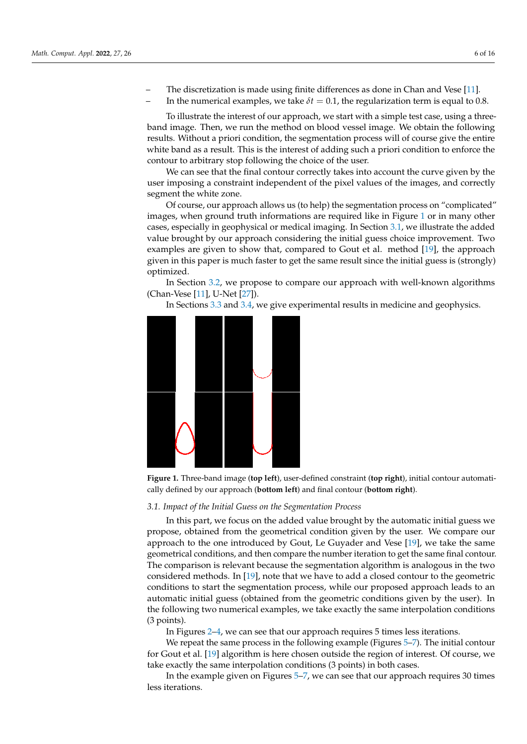- The discretization is made using finite differences as done in Chan and Vese [\[11\]](#page-14-10).
	- In the numerical examples, we take  $\delta t = 0.1$ , the regularization term is equal to 0.8.

To illustrate the interest of our approach, we start with a simple test case, using a threeband image. Then, we run the method on blood vessel image. We obtain the following results. Without a priori condition, the segmentation process will of course give the entire white band as a result. This is the interest of adding such a priori condition to enforce the contour to arbitrary stop following the choice of the user.

We can see that the final contour correctly takes into account the curve given by the user imposing a constraint independent of the pixel values of the images, and correctly segment the white zone.

Of course, our approach allows us (to help) the segmentation process on "complicated" images, when ground truth informations are required like in Figure [1](#page-5-0) or in many other cases, especially in geophysical or medical imaging. In Section [3.1,](#page-5-1) we illustrate the added value brought by our approach considering the initial guess choice improvement. Two examples are given to show that, compared to Gout et al. method [\[19\]](#page-14-20), the approach given in this paper is much faster to get the same result since the initial guess is (strongly) optimized.

In Section [3.2,](#page-7-0) we propose to compare our approach with well-known algorithms (Chan-Vese [\[11\]](#page-14-10), U-Net [\[27\]](#page-15-0)).

In Sections [3.3](#page-10-0) and [3.4,](#page-11-0) we give experimental results in medicine and geophysics.

<span id="page-5-0"></span>

**Figure 1.** Three-band image (**top left**), user-defined constraint (**top right**), initial contour automatically defined by our approach (**bottom left**) and final contour (**bottom right**).

#### <span id="page-5-1"></span>*3.1. Impact of the Initial Guess on the Segmentation Process*

In this part, we focus on the added value brought by the automatic initial guess we propose, obtained from the geometrical condition given by the user. We compare our approach to the one introduced by Gout, Le Guyader and Vese [\[19\]](#page-14-20), we take the same geometrical conditions, and then compare the number iteration to get the same final contour. The comparison is relevant because the segmentation algorithm is analogous in the two considered methods. In [\[19\]](#page-14-20), note that we have to add a closed contour to the geometric conditions to start the segmentation process, while our proposed approach leads to an automatic initial guess (obtained from the geometric conditions given by the user). In the following two numerical examples, we take exactly the same interpolation conditions (3 points).

In Figures [2–](#page-6-0)[4,](#page-6-1) we can see that our approach requires 5 times less iterations.

We repeat the same process in the following example (Figures [5–](#page-7-1)[7\)](#page-7-2). The initial contour for Gout et al. [\[19\]](#page-14-20) algorithm is here chosen outside the region of interest. Of course, we take exactly the same interpolation conditions (3 points) in both cases.

In the example given on Figures [5](#page-7-1)[–7,](#page-7-2) we can see that our approach requires 30 times less iterations.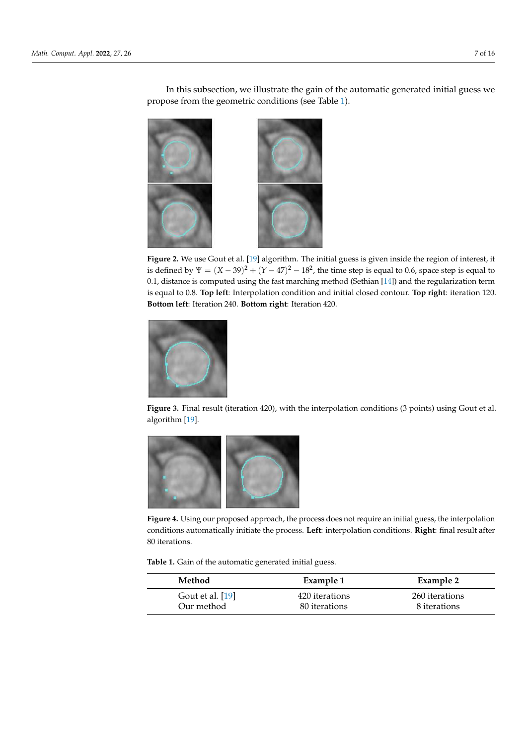<span id="page-6-0"></span>

In this subsection, we illustrate the gain of the automatic generated initial guess we propose from the geometric conditions (see Table [1\)](#page-6-2).

**Figure 2.** We use Gout et al. [\[19\]](#page-14-20) algorithm. The initial guess is given inside the region of interest, it is defined by  $\Psi = (X - 39)^2 + (Y - 47)^2 - 18^2$ , the time step is equal to 0.6, space step is equal to 0.1, distance is computed using the fast marching method (Sethian [\[14\]](#page-14-13)) and the regularization term is equal to 0.8. **Top left**: Interpolation condition and initial closed contour. **Top right**: iteration 120. **Bottom left**: Iteration 240. **Bottom right**: Iteration 420.



**Figure 3.** Final result (iteration 420), with the interpolation conditions (3 points) using Gout et al. algorithm [\[19\]](#page-14-20).

<span id="page-6-1"></span>

**Figure 4.** Using our proposed approach, the process does not require an initial guess, the interpolation conditions automatically initiate the process. **Left**: interpolation conditions. **Right**: final result after 80 iterations.

<span id="page-6-2"></span>**Table 1.** Gain of the automatic generated initial guess.

| Method           | Example 1      | Example 2      |
|------------------|----------------|----------------|
| Gout et al. [19] | 420 iterations | 260 iterations |
| Our method       | 80 iterations  | 8 iterations   |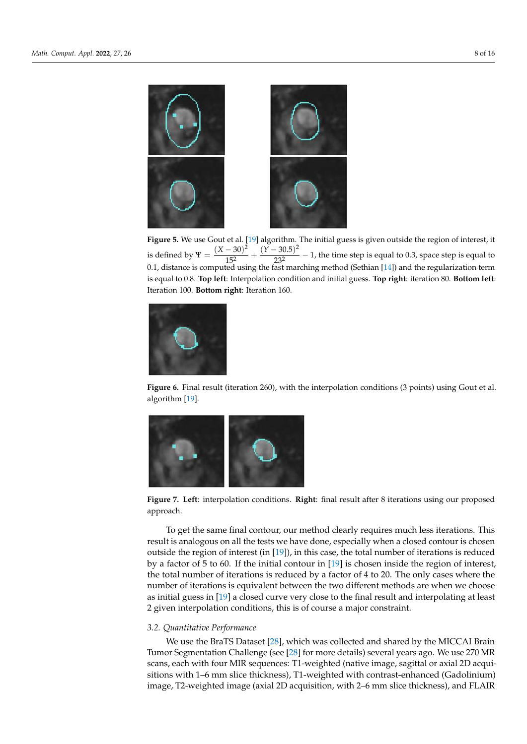<span id="page-7-1"></span>

**Figure 5.** We use Gout et al. [\[19\]](#page-14-20) algorithm. The initial guess is given outside the region of interest, it is defined by  $\Psi = \frac{(X - 30)^2}{152}$  $\frac{(Y-30.5)^2}{15^2} + \frac{(Y-30.5)^2}{23^2}$  $\frac{232}{23^2}$  - 1, the time step is equal to 0.3, space step is equal to 0.1, distance is computed using the fast marching method (Sethian [\[14\]](#page-14-13)) and the regularization term is equal to 0.8. **Top left**: Interpolation condition and initial guess. **Top right**: iteration 80. **Bottom left**: Iteration 100. **Bottom right**: Iteration 160.



**Figure 6.** Final result (iteration 260), with the interpolation conditions (3 points) using Gout et al. algorithm [\[19\]](#page-14-20).

<span id="page-7-2"></span>

**Figure 7. Left**: interpolation conditions. **Right**: final result after 8 iterations using our proposed approach.

To get the same final contour, our method clearly requires much less iterations. This result is analogous on all the tests we have done, especially when a closed contour is chosen outside the region of interest (in  $[19]$ ), in this case, the total number of iterations is reduced by a factor of 5 to 60. If the initial contour in [\[19\]](#page-14-20) is chosen inside the region of interest, the total number of iterations is reduced by a factor of 4 to 20. The only cases where the number of iterations is equivalent between the two different methods are when we choose as initial guess in [\[19\]](#page-14-20) a closed curve very close to the final result and interpolating at least 2 given interpolation conditions, this is of course a major constraint.

## <span id="page-7-0"></span>*3.2. Quantitative Performance*

We use the BraTS Dataset [\[28\]](#page-15-1), which was collected and shared by the MICCAI Brain Tumor Segmentation Challenge (see [\[28\]](#page-15-1) for more details) several years ago. We use 270 MR scans, each with four MIR sequences: T1-weighted (native image, sagittal or axial 2D acquisitions with 1–6 mm slice thickness), T1-weighted with contrast-enhanced (Gadolinium) image, T2-weighted image (axial 2D acquisition, with 2–6 mm slice thickness), and FLAIR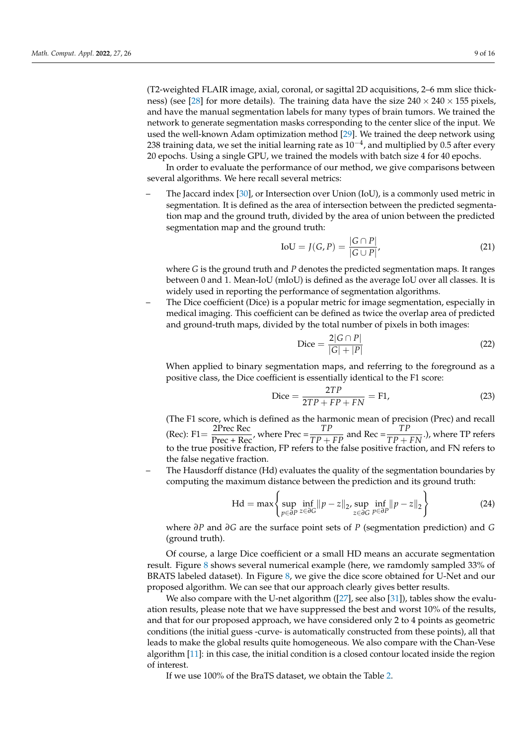(T2-weighted FLAIR image, axial, coronal, or sagittal 2D acquisitions, 2–6 mm slice thick-ness) (see [\[28\]](#page-15-1) for more details). The training data have the size  $240 \times 240 \times 155$  pixels, and have the manual segmentation labels for many types of brain tumors. We trained the network to generate segmentation masks corresponding to the center slice of the input. We used the well-known Adam optimization method [\[29\]](#page-15-2). We trained the deep network using 238 training data, we set the initial learning rate as  $10^{-4}$ , and multiplied by 0.5 after every 20 epochs. Using a single GPU, we trained the models with batch size 4 for 40 epochs.

In order to evaluate the performance of our method, we give comparisons between several algorithms. We here recall several metrics:

– The Jaccard index [\[30\]](#page-15-3), or Intersection over Union (IoU), is a commonly used metric in segmentation. It is defined as the area of intersection between the predicted segmentation map and the ground truth, divided by the area of union between the predicted segmentation map and the ground truth:

$$
IoU = J(G, P) = \frac{|G \cap P|}{|G \cup P|},
$$
\n(21)

where *G* is the ground truth and *P* denotes the predicted segmentation maps. It ranges between 0 and 1. Mean-IoU (mIoU) is defined as the average IoU over all classes. It is widely used in reporting the performance of segmentation algorithms.

– The Dice coefficient (Dice) is a popular metric for image segmentation, especially in medical imaging. This coefficient can be defined as twice the overlap area of predicted and ground-truth maps, divided by the total number of pixels in both images:

$$
\text{Dice} = \frac{2|G \cap P|}{|G| + |P|} \tag{22}
$$

When applied to binary segmentation maps, and referring to the foreground as a positive class, the Dice coefficient is essentially identical to the F1 score:

$$
\text{Dice} = \frac{2TP}{2TP + FP + FN} = F1,\tag{23}
$$

(The F1 score, which is defined as the harmonic mean of precision (Prec) and recall (Rec): F1 =  $\frac{2P \text{rec Rec}}{Prec + Rec}$ , where  $Prec = \frac{TP}{TP + FP}$  and  $Rec = \frac{TP}{TP + FN}$ .), where TP refers to the true positive fraction, FP refers to the false positive fraction, and FN refers to the false negative fraction.

– The Hausdorff distance (Hd) evaluates the quality of the segmentation boundaries by computing the maximum distance between the prediction and its ground truth:

$$
\text{Hd} = \max \left\{ \sup_{p \in \partial P} \inf_{z \in \partial G} ||p - z||_2, \sup_{z \in \partial G} \inf_{p \in \partial P} ||p - z||_2 \right\}
$$
(24)

where *∂P* and *∂G* are the surface point sets of *P* (segmentation prediction) and *G* (ground truth).

Of course, a large Dice coefficient or a small HD means an accurate segmentation result. Figure [8](#page-9-0) shows several numerical example (here, we ramdomly sampled 33% of BRATS labeled dataset). In Figure [8,](#page-9-0) we give the dice score obtained for U-Net and our proposed algorithm. We can see that our approach clearly gives better results.

We also compare with the U-net algorithm ([\[27\]](#page-15-0), see also [\[31\]](#page-15-4)), tables show the evaluation results, please note that we have suppressed the best and worst 10% of the results, and that for our proposed approach, we have considered only 2 to 4 points as geometric conditions (the initial guess -curve- is automatically constructed from these points), all that leads to make the global results quite homogeneous. We also compare with the Chan-Vese algorithm [\[11\]](#page-14-10): in this case, the initial condition is a closed contour located inside the region of interest.

If we use 100% of the BraTS dataset, we obtain the Table [2.](#page-10-1)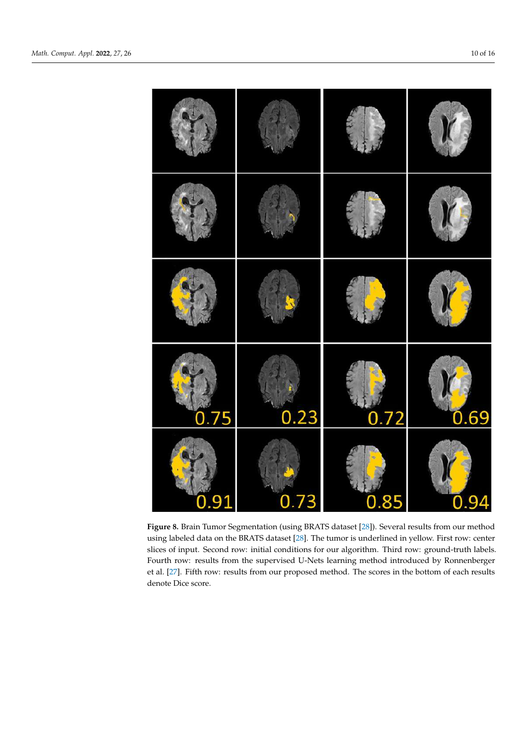<span id="page-9-0"></span>

**Figure 8.** Brain Tumor Segmentation (using BRATS dataset [28]). Several results from our method **Figure 8.** Brain Tumor Segmentation (using BRATS dataset [\[28\]](#page-15-1)). Several results from our method using labeled data on the BRATS dataset [28]. The tumor is underlined in yellow. First row: center using labeled data on the BRATS dataset [\[28\]](#page-15-1). The tumor is underlined in yellow. First row: center slices of input. Second row: initial conditions for our algorithm. Third row: ground-truth labels. slices of input. Second row: initial conditions for our algorithm. Third row: ground-truth labels. Fourth row: results from the supervised U-Nets learning method introduced by Ronnenberger Fourth row: results from the supervised U-Nets learning method introduced by Ronnenberger et al. [27]. Fifth row: results from our proposed method. The scores in the bottom of each results et al. [\[27\]](#page-15-0). Fifth row: results from our proposed method. The scores in the bottom of each results denote Dice score. denote Dice score.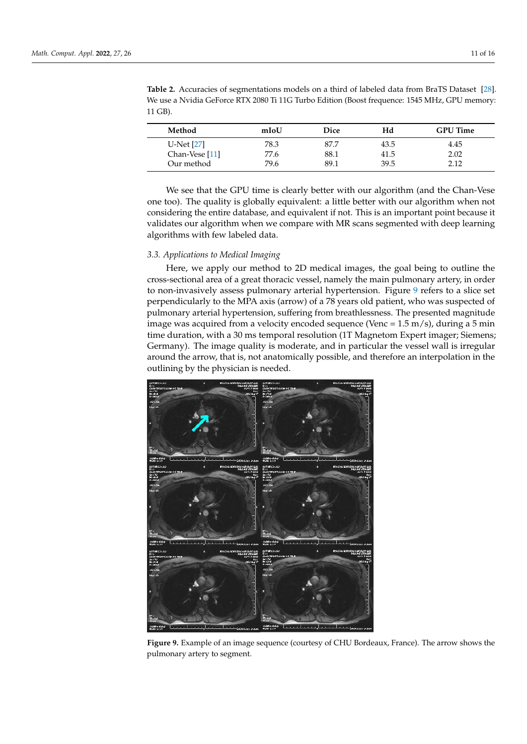| Method         | mIoU | Dice | Hd   | <b>GPU</b> Time |
|----------------|------|------|------|-----------------|
| U-Net $[27]$   | 78.3 | 87.7 | 43.5 | 4.45            |
| Chan-Vese [11] | 77.6 | 88.1 | 41.5 | 2.02            |
| Our method     | 79.6 | 89.1 | 39.5 | 2.12            |

<span id="page-10-1"></span>**Table 2.** Accuracies of segmentations models on a third of labeled data from BraTS Dataset [\[28\]](#page-15-1). We use a Nvidia GeForce RTX 2080 Ti 11G Turbo Edition (Boost frequence: 1545 MHz, GPU memory: 11 GB).

We see that the GPU time is clearly better with our algorithm (and the Chan-Vese one too). The quality is globally equivalent: a little better with our algorithm when not considering the entire database, and equivalent if not. This is an important point because it validates our algorithm when we compare with MR scans segmented with deep learning algorithms with few labeled data.

## <span id="page-10-0"></span>*3.3. Applications to Medical Imaging*

Here, we apply our method to 2D medical images, the goal being to outline the cross-sectional area of a great thoracic vessel, namely the main pulmonary artery, in order to non-invasively assess pulmonary arterial hypertension. Figure [9](#page-10-2) refers to a slice set perpendicularly to the MPA axis (arrow) of a 78 years old patient, who was suspected of pulmonary arterial hypertension, suffering from breathlessness. The presented magnitude image was acquired from a velocity encoded sequence (Venc =  $1.5 \text{ m/s}$ ), during a 5 min time duration, with a 30 ms temporal resolution (1T Magnetom Expert imager; Siemens; Germany). The image quality is moderate, and in particular the vessel wall is irregular around the arrow, that is, not anatomically possible, and therefore an interpolation in the outlining by the physician is needed.

<span id="page-10-2"></span>

**Figure 9.** Example of an image sequence (courtesy of CHU Bordeaux, France). The arrow shows the pulmonary artery to segment.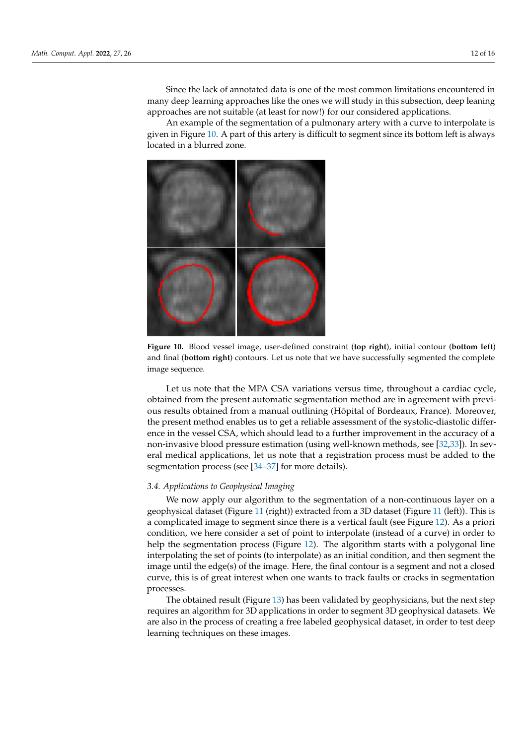Since the lack of annotated data is one of the most common limitations encountered in many deep learning approaches like the ones we will study in this subsection, deep leaning approaches are not suitable (at least for now!) for our considered applications.

An example of the segmentation of a pulmonary artery with a curve to interpolate is given in Figure [10.](#page-11-1) A part of this artery is difficult to segment since its bottom left is always located in a blurred zone.

<span id="page-11-1"></span>

**Figure 10.** Blood vessel image, user-defined constraint (**top right**), initial contour (**bottom left**) and final (**bottom right**) contours. Let us note that we have successfully segmented the complete image sequence.

Let us note that the MPA CSA variations versus time, throughout a cardiac cycle, obtained from the present automatic segmentation method are in agreement with previous results obtained from a manual outlining (Hôpital of Bordeaux, France). Moreover, the present method enables us to get a reliable assessment of the systolic-diastolic difference in the vessel CSA, which should lead to a further improvement in the accuracy of a non-invasive blood pressure estimation (using well-known methods, see [\[32,](#page-15-5)[33\]](#page-15-6)). In several medical applications, let us note that a registration process must be added to the segmentation process (see [\[34–](#page-15-7)[37\]](#page-15-8) for more details).

## <span id="page-11-0"></span>*3.4. Applications to Geophysical Imaging*

We now apply our algorithm to the segmentation of a non-continuous layer on a geophysical dataset (Figure [11](#page-12-0) (right)) extracted from a 3D dataset (Figure [11](#page-12-0) (left)). This is a complicated image to segment since there is a vertical fault (see Figure [12\)](#page-12-1). As a priori condition, we here consider a set of point to interpolate (instead of a curve) in order to help the segmentation process (Figure [12\)](#page-12-1). The algorithm starts with a polygonal line interpolating the set of points (to interpolate) as an initial condition, and then segment the image until the edge(s) of the image. Here, the final contour is a segment and not a closed curve, this is of great interest when one wants to track faults or cracks in segmentation processes.

The obtained result (Figure [13\)](#page-12-2) has been validated by geophysicians, but the next step requires an algorithm for 3D applications in order to segment 3D geophysical datasets. We are also in the process of creating a free labeled geophysical dataset, in order to test deep learning techniques on these images.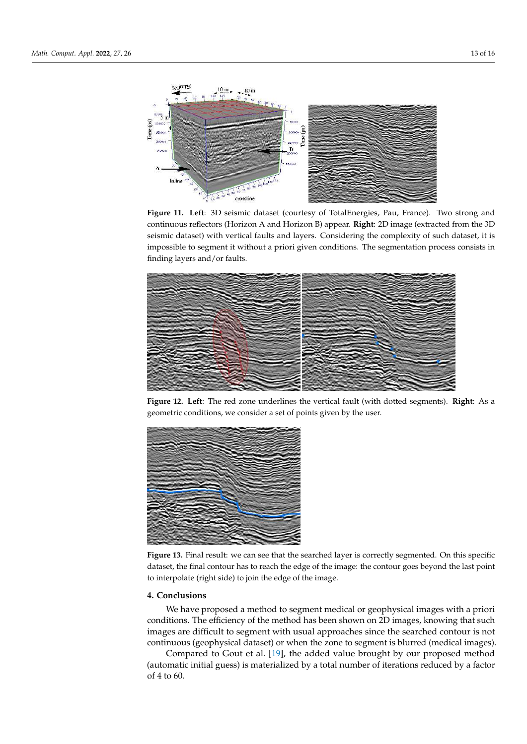<span id="page-12-0"></span>

**Figure 11. Left**: 3D seismic dataset (courtesy of TotalEnergies, Pau, France). Two strong and continuous reflectors (Horizon A and Horizon B) appear. **Right**: 2D image (extracted from the 3D seismic dataset) with vertical faults and layers. Considering the complexity of such dataset, it is impossible to segment it without a priori given conditions. The segmentation process consists in finding layers and/or faults.

<span id="page-12-1"></span>

**Figure 12. Left**: The red zone underlines the vertical fault (with dotted segments). **Right**: As a geometric conditions, we consider a set of points given by the user.

<span id="page-12-2"></span>

**Figure 13.** Final result: we can see that the searched layer is correctly segmented. On this specific dataset, the final contour has to reach the edge of the image: the contour goes beyond the last point to interpolate (right side) to join the edge of the image.

# **4. Conclusions**

We have proposed a method to segment medical or geophysical images with a priori conditions. The efficiency of the method has been shown on 2D images, knowing that such images are difficult to segment with usual approaches since the searched contour is not continuous (geophysical dataset) or when the zone to segment is blurred (medical images).

Compared to Gout et al. [\[19\]](#page-14-20), the added value brought by our proposed method (automatic initial guess) is materialized by a total number of iterations reduced by a factor of 4 to 60.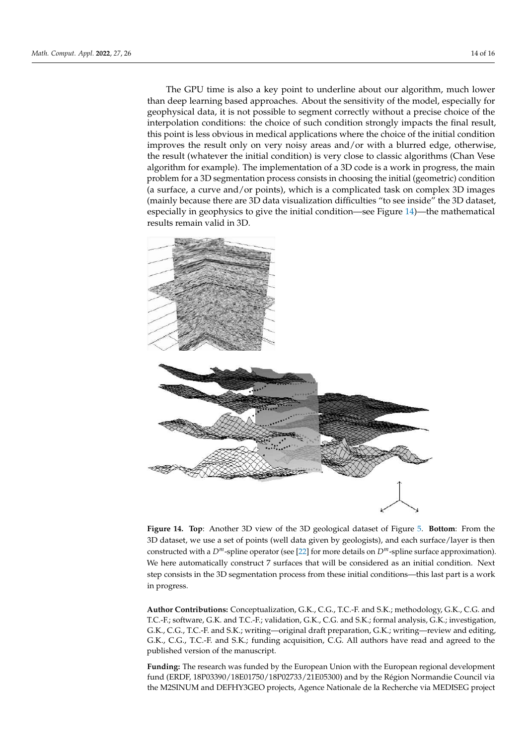The GPU time is also a key point to underline about our algorithm, much lower than deep learning based approaches. About the sensitivity of the model, especially for geophysical data, it is not possible to segment correctly without a precise choice of the interpolation conditions: the choice of such condition strongly impacts the final result, this point is less obvious in medical applications where the choice of the initial condition improves the result only on very noisy areas and/or with a blurred edge, otherwise, the result (whatever the initial condition) is very close to classic algorithms (Chan Vese algorithm for example). The implementation of a 3D code is a work in progress, the main problem for a 3D segmentation process consists in choosing the initial (geometric) condition (a surface, a curve and/or points), which is a complicated task on complex 3D images (mainly because there are 3D data visualization difficulties "to see inside" the 3D dataset, especially in geophysics to give the initial condition—see Figure [14\)](#page-13-0)—the mathematical results remain valid in 3D.

<span id="page-13-0"></span>

**Figure 14. Top**: Another 3D view of the 3D geological dataset of Figure [5.](#page-7-1) **Bottom**: From the 3D dataset, we use a set of points (well data given by geologists), and each surface/layer is then constructed with a *Dm*-spline operator (see [\[22\]](#page-14-21) for more details on *Dm*-spline surface approximation). We here automatically construct 7 surfaces that will be considered as an initial condition. Next step consists in the 3D segmentation process from these initial conditions—this last part is a work in progress.

**Author Contributions:** Conceptualization, G.K., C.G., T.C.-F. and S.K.; methodology, G.K., C.G. and T.C.-F.; software, G.K. and T.C.-F.; validation, G.K., C.G. and S.K.; formal analysis, G.K.; investigation, G.K., C.G., T.C.-F. and S.K.; writing—original draft preparation, G.K.; writing—review and editing, G.K., C.G., T.C.-F. and S.K.; funding acquisition, C.G. All authors have read and agreed to the published version of the manuscript.

**Funding:** The research was funded by the European Union with the European regional development fund (ERDF, 18P03390/18E01750/18P02733/21E05300) and by the Région Normandie Council via the M2SINUM and DEFHY3GEO projects, Agence Nationale de la Recherche via MEDISEG project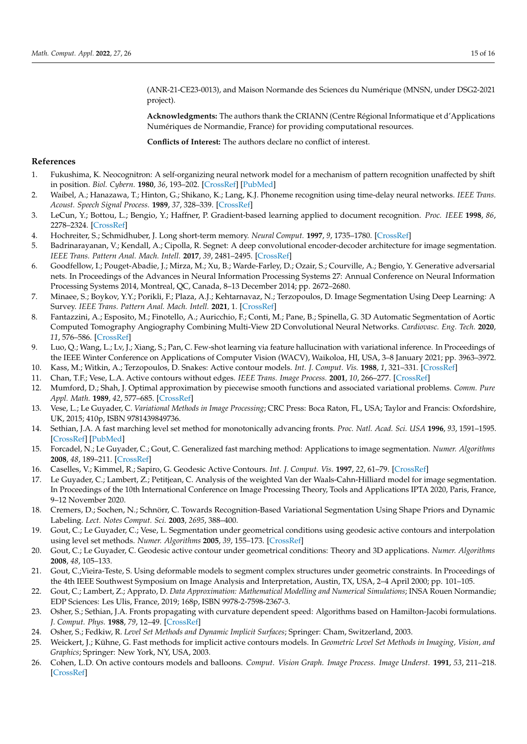(ANR-21-CE23-0013), and Maison Normande des Sciences du Numérique (MNSN, under DSG2-2021 project).

**Acknowledgments:** The authors thank the CRIANN (Centre Régional Informatique et d'Applications Numériques de Normandie, France) for providing computational resources.

**Conflicts of Interest:** The authors declare no conflict of interest.

## **References**

- <span id="page-14-0"></span>1. Fukushima, K. Neocognitron: A self-organizing neural network model for a mechanism of pattern recognition unaffected by shift in position. *Biol. Cybern.* **1980**, *36*, 193–202. [\[CrossRef\]](http://doi.org/10.1007/BF00344251) [\[PubMed\]](http://www.ncbi.nlm.nih.gov/pubmed/7370364)
- <span id="page-14-1"></span>2. Waibel, A.; Hanazawa, T.; Hinton, G.; Shikano, K.; Lang, K.J. Phoneme recognition using time-delay neural networks. *IEEE Trans. Acoust. Speech Signal Process.* **1989**, *37*, 328–339. [\[CrossRef\]](http://dx.doi.org/10.1109/29.21701)
- <span id="page-14-2"></span>3. LeCun, Y.; Bottou, L.; Bengio, Y.; Haffner, P. Gradient-based learning applied to document recognition. *Proc. IEEE* **1998**, *86*, 2278–2324. [\[CrossRef\]](http://dx.doi.org/10.1109/5.726791)
- <span id="page-14-3"></span>4. Hochreiter, S.; Schmidhuber, J. Long short-term memory. *Neural Comput.* **1997**, *9*, 1735–1780. [\[CrossRef\]](http://dx.doi.org/10.1162/neco.1997.9.8.1735)
- <span id="page-14-4"></span>5. Badrinarayanan, V.; Kendall, A.; Cipolla, R. Segnet: A deep convolutional encoder-decoder architecture for image segmentation. *IEEE Trans. Pattern Anal. Mach. Intell.* **2017**, *39*, 2481–2495. [\[CrossRef\]](http://dx.doi.org/10.1109/TPAMI.2016.2644615)
- <span id="page-14-5"></span>6. Goodfellow, I.; Pouget-Abadie, J.; Mirza, M.; Xu, B.; Warde-Farley, D.; Ozair, S.; Courville, A.; Bengio, Y. Generative adversarial nets. In Proceedings of the Advances in Neural Information Processing Systems 27: Annual Conference on Neural Information Processing Systems 2014, Montreal, QC, Canada, 8–13 December 2014; pp. 2672–2680.
- <span id="page-14-6"></span>7. Minaee, S.; Boykov, Y.Y.; Porikli, F.; Plaza, A.J.; Kehtarnavaz, N.; Terzopoulos, D. Image Segmentation Using Deep Learning: A Survey. *IEEE Trans. Pattern Anal. Mach. Intell.* **2021**, 1. [\[CrossRef\]](http://dx.doi.org/10.1109/TPAMI.2021.3059968)
- <span id="page-14-7"></span>8. Fantazzini, A.; Esposito, M.; Finotello, A.; Auricchio, F.; Conti, M.; Pane, B.; Spinella, G. 3D Automatic Segmentation of Aortic Computed Tomography Angiography Combining Multi-View 2D Convolutional Neural Networks. *Cardiovasc. Eng. Tech.* **2020**, *11*, 576–586. [\[CrossRef\]](http://dx.doi.org/10.1007/s13239-020-00481-z)
- <span id="page-14-8"></span>9. Luo, Q.; Wang, L.; Lv, J.; Xiang, S.; Pan, C. Few-shot learning via feature hallucination with variational inference. In Proceedings of the IEEE Winter Conference on Applications of Computer Vision (WACV), Waikoloa, HI, USA, 3–8 January 2021; pp. 3963–3972.
- <span id="page-14-9"></span>10. Kass, M.; Witkin, A.; Terzopoulos, D. Snakes: Active contour models. *Int. J. Comput. Vis.* **1988**, *1*, 321–331. [\[CrossRef\]](http://dx.doi.org/10.1007/BF00133570)
- <span id="page-14-10"></span>11. Chan, T.F.; Vese, L.A. Active contours without edges. *IEEE Trans. Image Process.* **2001**, *10*, 266–277. [\[CrossRef\]](http://dx.doi.org/10.1109/83.902291)
- <span id="page-14-11"></span>12. Mumford, D.; Shah, J. Optimal approximation by piecewise smooth functions and associated variational problems. *Comm. Pure Appl. Math.* **1989**, *42*, 577–685. [\[CrossRef\]](http://dx.doi.org/10.1002/cpa.3160420503)
- <span id="page-14-12"></span>13. Vese, L.; Le Guyader, C. *Variational Methods in Image Processing*; CRC Press: Boca Raton, FL, USA; Taylor and Francis: Oxfordshire, UK, 2015; 410p, ISBN 9781439849736.
- <span id="page-14-13"></span>14. Sethian, J.A. A fast marching level set method for monotonically advancing fronts. *Proc. Natl. Acad. Sci. USA* **1996**, *93*, 1591–1595. [\[CrossRef\]](http://dx.doi.org/10.1073/pnas.93.4.1591) [\[PubMed\]](http://www.ncbi.nlm.nih.gov/pubmed/11607632)
- <span id="page-14-14"></span>15. Forcadel, N.; Le Guyader, C.; Gout, C. Generalized fast marching method: Applications to image segmentation. *Numer. Algorithms* **2008**, *48*, 189–211. [\[CrossRef\]](http://dx.doi.org/10.1007/s11075-008-9183-x)
- <span id="page-14-15"></span>16. Caselles, V.; Kimmel, R.; Sapiro, G. Geodesic Active Contours. *Int. J. Comput. Vis.* **1997**, *22*, 61–79. [\[CrossRef\]](http://dx.doi.org/10.1023/A:1007979827043)
- <span id="page-14-16"></span>17. Le Guyader, C.; Lambert, Z.; Petitjean, C. Analysis of the weighted Van der Waals-Cahn-Hilliard model for image segmentation. In Proceedings of the 10th International Conference on Image Processing Theory, Tools and Applications IPTA 2020, Paris, France, 9–12 November 2020.
- <span id="page-14-17"></span>18. Cremers, D.; Sochen, N.; Schnörr, C. Towards Recognition-Based Variational Segmentation Using Shape Priors and Dynamic Labeling. *Lect. Notes Comput. Sci.* **2003**, *2695*, 388–400.
- <span id="page-14-20"></span>19. Gout, C.; Le Guyader, C.; Vese, L. Segmentation under geometrical conditions using geodesic active contours and interpolation using level set methods. *Numer. Algorithms* **2005**, *39*, 155–173. [\[CrossRef\]](http://dx.doi.org/10.1007/s11075-004-3627-8)
- <span id="page-14-19"></span>20. Gout, C.; Le Guyader, C. Geodesic active contour under geometrical conditions: Theory and 3D applications. *Numer. Algorithms* **2008**, *48*, 105–133.
- <span id="page-14-18"></span>21. Gout, C.;Vieira-Teste, S. Using deformable models to segment complex structures under geometric constraints. In Proceedings of the 4th IEEE Southwest Symposium on Image Analysis and Interpretation, Austin, TX, USA, 2–4 April 2000; pp. 101–105.
- <span id="page-14-21"></span>22. Gout, C.; Lambert, Z.; Apprato, D. *Data Approximation: Mathematical Modelling and Numerical Simulations*; INSA Rouen Normandie; EDP Sciences: Les Ulis, France, 2019; 168p, ISBN 9978-2-7598-2367-3.
- <span id="page-14-22"></span>23. Osher, S.; Sethian, J.A. Fronts propagating with curvature dependent speed: Algorithms based on Hamilton-Jacobi formulations. *J. Comput. Phys.* **1988**, *79*, 12–49. [\[CrossRef\]](http://dx.doi.org/10.1016/0021-9991(88)90002-2)
- <span id="page-14-23"></span>24. Osher, S.; Fedkiw, R. *Level Set Methods and Dynamic Implicit Surfaces*; Springer: Cham, Switzerland, 2003.
- <span id="page-14-24"></span>25. Weickert, J.; Kühne, G. Fast methods for implicit active contours models. In *Geometric Level Set Methods in Imaging, Vision, and Graphics*; Springer: New York, NY, USA, 2003.
- <span id="page-14-25"></span>26. Cohen, L.D. On active contours models and balloons. *Comput. Vision Graph. Image Process. Image Underst.* **1991**, *53*, 211–218. [\[CrossRef\]](http://dx.doi.org/10.1016/1049-9660(91)90028-N)